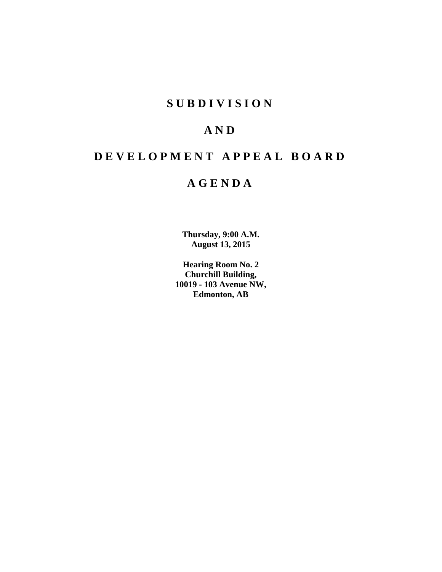# **S U B D I V I S I O N**

# **A N D**

# **D E V E L O P M E N T A P P E A L B O A R D**

# **A G E N D A**

**Thursday, 9:00 A.M. August 13, 2015**

**Hearing Room No. 2 Churchill Building, 10019 - 103 Avenue NW, Edmonton, AB**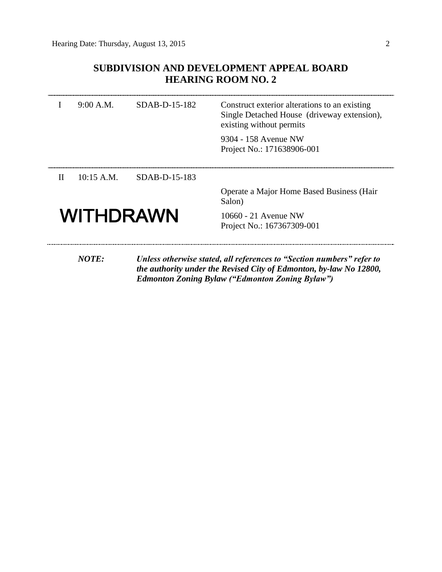# **SUBDIVISION AND DEVELOPMENT APPEAL BOARD HEARING ROOM NO. 2**

|                  | 9:00 A.M.    | SDAB-D-15-182 | Construct exterior alterations to an existing<br>Single Detached House (driveway extension),<br>existing without permits<br>9304 - 158 Avenue NW<br>Project No.: 171638906-001                        |
|------------------|--------------|---------------|-------------------------------------------------------------------------------------------------------------------------------------------------------------------------------------------------------|
|                  |              |               |                                                                                                                                                                                                       |
| $\mathbf{H}$     | $10:15$ A.M. | SDAB-D-15-183 |                                                                                                                                                                                                       |
|                  |              |               | Operate a Major Home Based Business (Hair<br>Salon)                                                                                                                                                   |
| <b>WITHDRAWN</b> |              |               | 10660 - 21 Avenue NW<br>Project No.: 167367309-001                                                                                                                                                    |
|                  | <b>NOTE:</b> |               | Unless otherwise stated, all references to "Section numbers" refer to<br>the authority under the Revised City of Edmonton, by-law No 12800,<br><b>Edmonton Zoning Bylaw ("Edmonton Zoning Bylaw")</b> |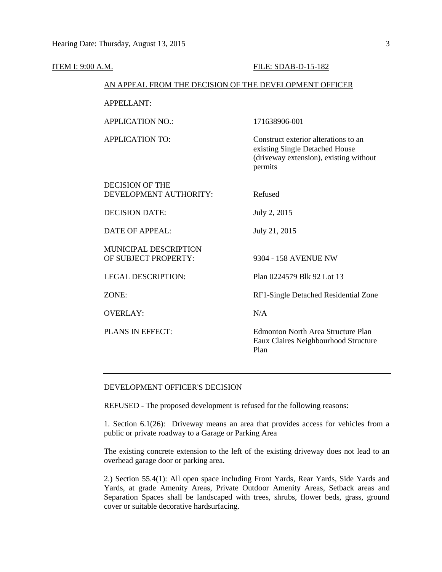| <b>ITEM I: 9:00 A.M.</b>                             | <b>FILE: SDAB-D-15-182</b>                                                                                                  |  |  |  |  |  |
|------------------------------------------------------|-----------------------------------------------------------------------------------------------------------------------------|--|--|--|--|--|
|                                                      | AN APPEAL FROM THE DECISION OF THE DEVELOPMENT OFFICER                                                                      |  |  |  |  |  |
| <b>APPELLANT:</b>                                    |                                                                                                                             |  |  |  |  |  |
| <b>APPLICATION NO.:</b>                              | 171638906-001                                                                                                               |  |  |  |  |  |
| <b>APPLICATION TO:</b>                               | Construct exterior alterations to an<br>existing Single Detached House<br>(driveway extension), existing without<br>permits |  |  |  |  |  |
| <b>DECISION OF THE</b><br>DEVELOPMENT AUTHORITY:     | Refused                                                                                                                     |  |  |  |  |  |
| <b>DECISION DATE:</b>                                | July 2, 2015                                                                                                                |  |  |  |  |  |
| <b>DATE OF APPEAL:</b>                               | July 21, 2015                                                                                                               |  |  |  |  |  |
| <b>MUNICIPAL DESCRIPTION</b><br>OF SUBJECT PROPERTY: | 9304 - 158 AVENUE NW                                                                                                        |  |  |  |  |  |
| <b>LEGAL DESCRIPTION:</b>                            | Plan 0224579 Blk 92 Lot 13                                                                                                  |  |  |  |  |  |
| ZONE:                                                | RF1-Single Detached Residential Zone                                                                                        |  |  |  |  |  |
| <b>OVERLAY:</b>                                      | N/A                                                                                                                         |  |  |  |  |  |
| PLANS IN EFFECT:                                     | <b>Edmonton North Area Structure Plan</b><br>Eaux Claires Neighbourhood Structure<br>Plan                                   |  |  |  |  |  |

### DEVELOPMENT OFFICER'S DECISION

REFUSED - The proposed development is refused for the following reasons:

1. Section 6.1(26): Driveway means an area that provides access for vehicles from a public or private roadway to a Garage or Parking Area

The existing concrete extension to the left of the existing driveway does not lead to an overhead garage door or parking area.

2.) Section 55.4(1): All open space including Front Yards, Rear Yards, Side Yards and Yards, at grade Amenity Areas, Private Outdoor Amenity Areas, Setback areas and Separation Spaces shall be landscaped with trees, shrubs, flower beds, grass, ground cover or suitable decorative hardsurfacing.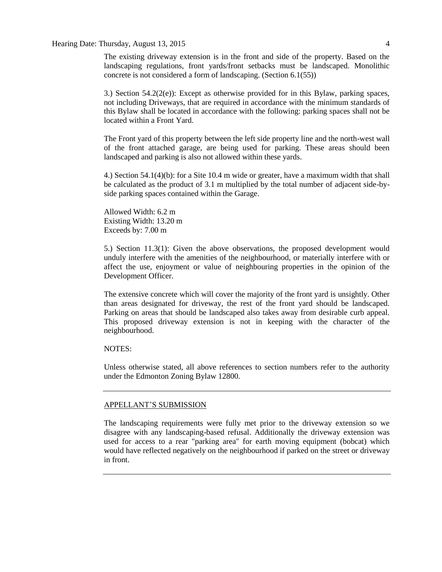Hearing Date: Thursday, August 13, 2015 4

The existing driveway extension is in the front and side of the property. Based on the landscaping regulations, front yards/front setbacks must be landscaped. Monolithic concrete is not considered a form of landscaping. (Section 6.1(55))

3.) Section  $54.2(2(e))$ : Except as otherwise provided for in this Bylaw, parking spaces, not including Driveways, that are required in accordance with the minimum standards of this Bylaw shall be located in accordance with the following: parking spaces shall not be located within a Front Yard.

The Front yard of this property between the left side property line and the north-west wall of the front attached garage, are being used for parking. These areas should been landscaped and parking is also not allowed within these yards.

4.) Section 54.1(4)(b): for a Site 10.4 m wide or greater, have a maximum width that shall be calculated as the product of 3.1 m multiplied by the total number of adjacent side-byside parking spaces contained within the Garage.

Allowed Width: 6.2 m Existing Width: 13.20 m Exceeds by: 7.00 m

5.) Section 11.3(1): Given the above observations, the proposed development would unduly interfere with the amenities of the neighbourhood, or materially interfere with or affect the use, enjoyment or value of neighbouring properties in the opinion of the Development Officer.

The extensive concrete which will cover the majority of the front yard is unsightly. Other than areas designated for driveway, the rest of the front yard should be landscaped. Parking on areas that should be landscaped also takes away from desirable curb appeal. This proposed driveway extension is not in keeping with the character of the neighbourhood.

### NOTES:

Unless otherwise stated, all above references to section numbers refer to the authority under the Edmonton Zoning Bylaw 12800.

## APPELLANT'S SUBMISSION

The landscaping requirements were fully met prior to the driveway extension so we disagree with any landscaping-based refusal. Additionally the driveway extension was used for access to a rear "parking area" for earth moving equipment (bobcat) which would have reflected negatively on the neighbourhood if parked on the street or driveway in front.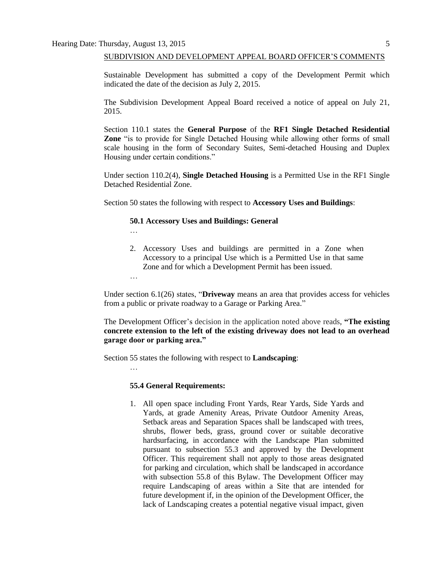…

…

…

#### SUBDIVISION AND DEVELOPMENT APPEAL BOARD OFFICER'S COMMENTS

Sustainable Development has submitted a copy of the Development Permit which indicated the date of the decision as July 2, 2015.

The Subdivision Development Appeal Board received a notice of appeal on July 21, 2015.

Section 110.1 states the **General Purpose** of the **RF1 Single Detached Residential Zone** "is to provide for Single Detached Housing while allowing other forms of small scale housing in the form of Secondary Suites, Semi-detached Housing and Duplex Housing under certain conditions."

Under section 110.2(4)*,* **Single Detached Housing** is a Permitted Use in the RF1 Single Detached Residential Zone.

Section 50 states the following with respect to **Accessory Uses and Buildings**:

#### **50.1 Accessory Uses and Buildings: General**

2. Accessory Uses and buildings are permitted in a Zone when Accessory to a principal Use which is a Permitted Use in that same Zone and for which a Development Permit has been issued.

Under section 6.1(26) states, "**Driveway** means an area that provides access for vehicles from a public or private roadway to a Garage or Parking Area."

The Development Officer's decision in the application noted above reads, **"The existing concrete extension to the left of the existing driveway does not lead to an overhead garage door or parking area."** 

Section 55 states the following with respect to **Landscaping**:

### **55.4 General Requirements:**

1. All open space including Front Yards, Rear Yards, Side Yards and Yards, at grade Amenity Areas, Private Outdoor Amenity Areas, Setback areas and Separation Spaces shall be landscaped with trees, shrubs, flower beds, grass, ground cover or suitable decorative hardsurfacing, in accordance with the Landscape Plan submitted pursuant to subsection 55.3 and approved by the Development Officer. This requirement shall not apply to those areas designated for parking and circulation, which shall be landscaped in accordance with subsection 55.8 of this Bylaw. The Development Officer may require Landscaping of areas within a Site that are intended for future development if, in the opinion of the Development Officer, the lack of Landscaping creates a potential negative visual impact, given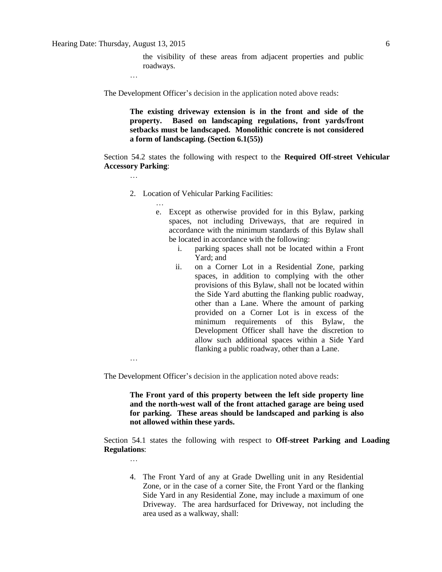the visibility of these areas from adjacent properties and public roadways.

…

…

…

The Development Officer's decision in the application noted above reads:

**The existing driveway extension is in the front and side of the property. Based on landscaping regulations, front yards/front setbacks must be landscaped. Monolithic concrete is not considered a form of landscaping. (Section 6.1(55))**

Section 54.2 states the following with respect to the **Required Off-street Vehicular Accessory Parking**:

- 2. Location of Vehicular Parking Facilities:
	- e. Except as otherwise provided for in this Bylaw, parking spaces, not including Driveways, that are required in accordance with the minimum standards of this Bylaw shall be located in accordance with the following:
		- i. parking spaces shall not be located within a Front Yard; and
		- ii. on a Corner Lot in a Residential Zone, parking spaces, in addition to complying with the other provisions of this Bylaw, shall not be located within the Side Yard abutting the flanking public roadway, other than a Lane. Where the amount of parking provided on a Corner Lot is in excess of the minimum requirements of this Bylaw, the Development Officer shall have the discretion to allow such additional spaces within a Side Yard flanking a public roadway, other than a Lane.

…

…

The Development Officer's decision in the application noted above reads:

**The Front yard of this property between the left side property line and the north-west wall of the front attached garage are being used for parking. These areas should be landscaped and parking is also not allowed within these yards.**

Section 54.1 states the following with respect to **Off-street Parking and Loading Regulations**:

4. The Front Yard of any at Grade Dwelling unit in any Residential Zone, or in the case of a corner Site, the Front Yard or the flanking Side Yard in any Residential Zone, may include a maximum of one Driveway. The area hardsurfaced for Driveway, not including the area used as a walkway, shall: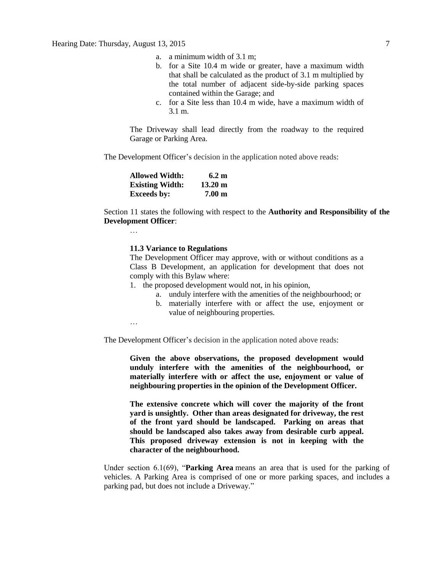- a. a minimum width of 3.1 m;
- b. for a Site 10.4 m wide or greater, have a maximum width that shall be calculated as the product of 3.1 m multiplied by the total number of adjacent side-by-side parking spaces contained within the Garage; and
- c. for a Site less than 10.4 m wide, have a maximum width of 3.1 m.

The Driveway shall lead directly from the roadway to the required Garage or Parking Area.

The Development Officer's decision in the application noted above reads:

| <b>Allowed Width:</b>  | 6.2 m             |
|------------------------|-------------------|
| <b>Existing Width:</b> | $13.20 \text{ m}$ |
| <b>Exceeds by:</b>     | 7.00 <sub>m</sub> |

Section 11 states the following with respect to the **Authority and Responsibility of the Development Officer**:

### **11.3 Variance to Regulations**

The Development Officer may approve, with or without conditions as a Class B Development, an application for development that does not comply with this Bylaw where:

- 1. the proposed development would not, in his opinion,
	- a. unduly interfere with the amenities of the neighbourhood; or
		- b. materially interfere with or affect the use, enjoyment or value of neighbouring properties.

…

…

The Development Officer's decision in the application noted above reads:

**Given the above observations, the proposed development would unduly interfere with the amenities of the neighbourhood, or materially interfere with or affect the use, enjoyment or value of neighbouring properties in the opinion of the Development Officer.**

**The extensive concrete which will cover the majority of the front yard is unsightly. Other than areas designated for driveway, the rest of the front yard should be landscaped. Parking on areas that should be landscaped also takes away from desirable curb appeal. This proposed driveway extension is not in keeping with the character of the neighbourhood.**

Under section 6.1(69), "**Parking Area** means an area that is used for the parking of vehicles. A Parking Area is comprised of one or more parking spaces, and includes a parking pad, but does not include a Driveway."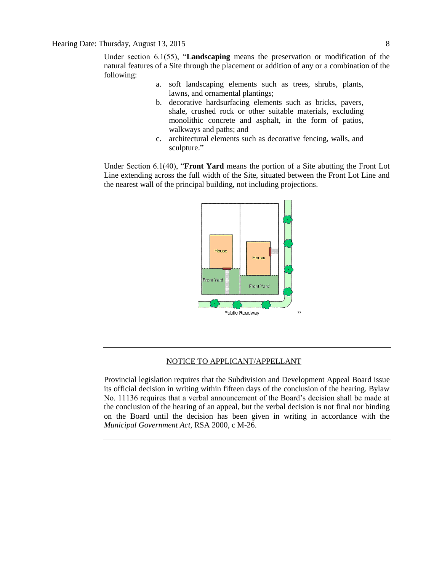Under section 6.1(55), "**Landscaping** means the preservation or modification of the natural features of a Site through the placement or addition of any or a combination of the following:

- a. soft landscaping elements such as trees, shrubs, plants, lawns, and ornamental plantings;
- b. decorative hardsurfacing elements such as bricks, pavers, shale, crushed rock or other suitable materials, excluding monolithic concrete and asphalt, in the form of patios, walkways and paths; and
- c. architectural elements such as decorative fencing, walls, and sculpture."

Under Section 6.1(40), "**Front Yard** means the portion of a Site abutting the Front Lot Line extending across the full width of the Site, situated between the Front Lot Line and the nearest wall of the principal building, not including projections.



## NOTICE TO APPLICANT/APPELLANT

Provincial legislation requires that the Subdivision and Development Appeal Board issue its official decision in writing within fifteen days of the conclusion of the hearing. Bylaw No. 11136 requires that a verbal announcement of the Board's decision shall be made at the conclusion of the hearing of an appeal, but the verbal decision is not final nor binding on the Board until the decision has been given in writing in accordance with the *Municipal Government Act,* RSA 2000, c M-26.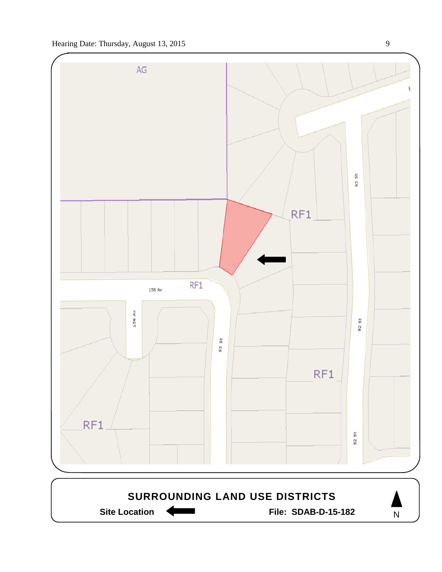